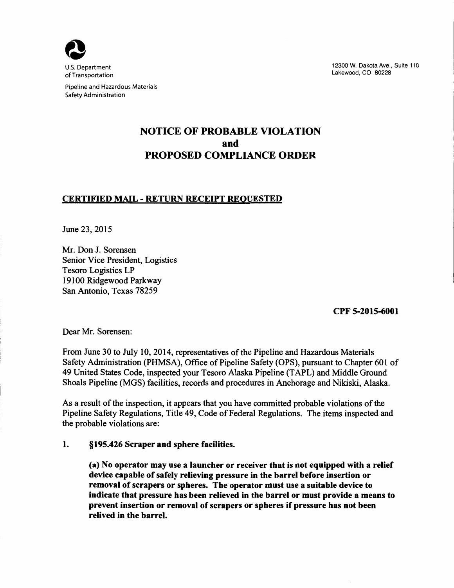

Pipeline and Hazardous Materials Safety Administration

12300 W. Dakota Ave., Suite 110 Lakewood, CO 80228

# NOTICE OF PROBABLE VIOLATION and PROPOSED COMPLIANCE ORDER

#### CERTIFIED MAIL - RETURN RECEIPT REQUESTED

June 23, 2015

Mr. Don J. Sorensen Senior Vice President, Logistics Tesoro Logistics LP 19100 Ridgewood Parkway San Antonio, Texas 78259

CPF 5-2015-6001

Dear Mr. Sorensen:

From June 30 to July 10, 2014, representatives of the Pipeline and Hazardous Materials Safety Administration (PHMSA), Office of Pipeline Safety (OPS), pursuant to Chapter 601 of 49 United States Code, inspected your Tesoro Alaska Pipeline (TAPL) and Middle Ground Shoals Pipeline (MGS) facilities, records and procedures in Anchorage and Nikiski, Alaska.

As a result of the inspection, it appears that you have committed probable violations of the Pipeline Safety Regulations, Title 49, Code of Federal Regulations. The items inspected and the probable violations are:

#### 1. §195.426 Scraper and sphere facilities.

(a) No operator may use a launcher or receiver that is not equipped with a relief device capable of safely relieving pressure in the barrel before insertion or removal of scrapers or spheres. The operator must use a suitable device to indicate that pressure has been relieved in the barrel or must provide a means to prevent insertion or removal of scrapers or spheres if pressure has not been relived in the barrel.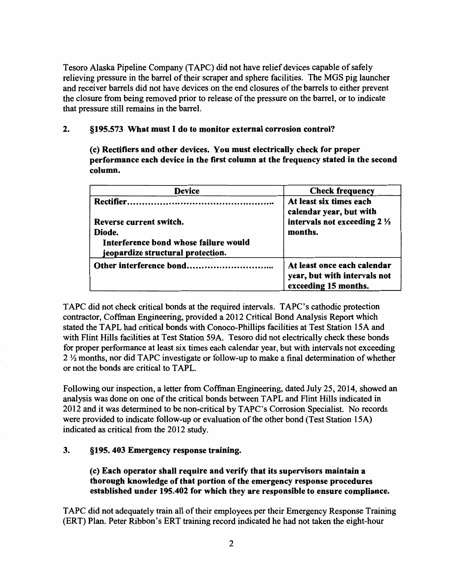Tesoro Alaska Pipeline Company (T APC) did not have relief devices capable of safely relieving pressure in the barrel of their scraper and sphere facilities. The MGS pig launcher and receiver barrels did not have devices on the end closures of the barrels to either prevent the closure from being removed prior to release of the pressure on the barrel, or to indicate that pressure still remains in the barrel.

### 2. §195.573 What must I do to monitor external corrosion control?

(c) Rectifiers and other devices. You must electrically check for proper performance each device in the first column at the frequency stated in the second column.

| <b>Device</b>                                                              | <b>Check frequency</b>                                                              |
|----------------------------------------------------------------------------|-------------------------------------------------------------------------------------|
|                                                                            | At least six times each<br>calendar year, but with                                  |
| Reverse current switch.                                                    | intervals not exceeding 2 1/2                                                       |
| Diode.                                                                     | months.                                                                             |
| Interference bond whose failure would<br>jeopardize structural protection. |                                                                                     |
|                                                                            | At least once each calendar<br>year, but with intervals not<br>exceeding 15 months. |

TAPC did not check critical bonds at the required intervals. TAPC's cathodic protection contractor, Coffman Engineering, provided a 2012 Critical Bond Analysis Report which stated the TAPL had critical bonds with Conoco-Phillips facilities at Test Station 15A and with Flint Hills facilities at Test Station 59A. Tesoro did not electrically check these bonds for proper performance at least six times each calendar year, but with intervals not exceeding 2 Y2 months, nor did T APC investigate or follow-up to make a final determination of whether or not the bonds are critical to T APL.

Following our inspection, a letter from Coffman Engineering, dated July 25, 2014, showed an analysis was done on one of the critical bonds between TAPL and Flint Hills indicated in 2012 and it was determined to be non-critical by TAPC's Corrosion Specialist. No records were provided to indicate follow-up or evaluation of the other bond (Test Station 15A) indicated as critical from the 2012 study.

#### 3. §195. 403 Emergency response training.

(c) Each operator shall require and verify that its supervisors maintain a thorough knowledge of that portion of the emergency response procedures established under 195.402 for which they are responsible to ensure compliance.

T APC did not adequately train all of their employees per their Emergency Response Training (ERT) Plan. Peter Ribbon's ERT training record indicated he had not taken the eight-hour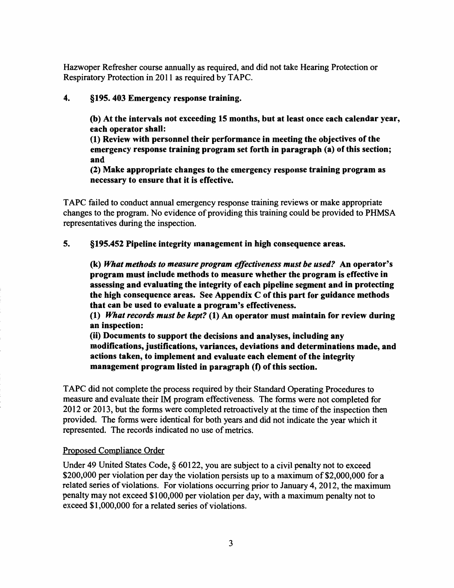Hazwoper Refresher course annually as required, and did not take Hearing Protection or Respiratory Protection in 2011 as required by TAPC.

#### 4. §195. 403 Emergency response training.

(b) At the intervals not exceeding 15 months, but at least once each calendar year, each operator shall:

(1) Review with personnel their performance in meeting the objectives of the emergency response training program set forth in paragraph (a) of this section; and

(2) Make appropriate changes to the emergency response training program as necessary to ensure that it is effective.

T APC failed to conduct annual emergency response training reviews or make appropriate changes to the program. No evidence of providing this training could be provided to PHMSA representatives during the inspection.

#### 5. §195.452 Pipeline integrity management in high consequence areas.

(k) *What methods to measure program effectiveness must be used?* An operator's program must include methods to measure whether the program is effective in assessing and evaluating the integrity of each pipeline segment and in protecting the high consequence areas. See Appendix  $C$  of this part for guidance methods that can be used to evaluate a program's effectiveness.

(1) *What records must be kept?* (1) An operator must maintain for review during an inspection:

(ii) Documents to support the decisions and analyses, including any modifications, justifications, variances, deviations and determinations made, and actions taken, to implement and evaluate each element of the integrity management program listed in paragraph (f) of this section.

T APC did not complete the process required by their Standard Operating Procedures to measure and evaluate their IM program effectiveness. The forms were not completed for 2012 or 2013, but the forms were completed retroactively at the time of the inspection then provided. The forms were identical for both years and did not indicate the year which it represented. The records indicated no use of metrics.

#### Proposed Compliance Order

Under 49 United States Code, § 60122, you are subject to a civil penalty not to exceed \$200,000 per violation per day the violation persists up to a maximum of \$2,000,000 for a related series of violations. For violations occurring prior to January 4, 2012, the maximum penalty may not exceed \$100,000 per violation per day, with a maximum penalty not to exceed \$1 ,000,000 for a related series of violations.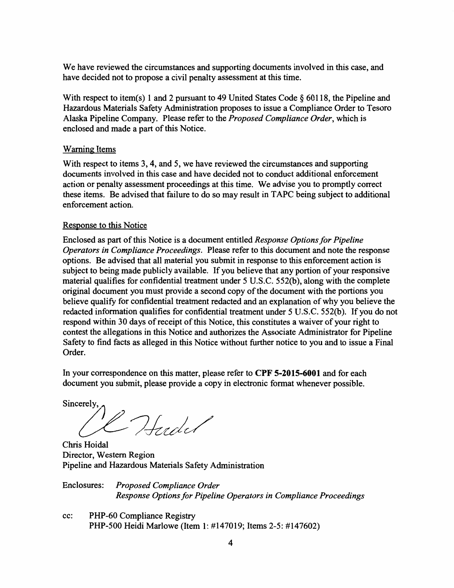We have reviewed the circumstances and supporting documents involved in this case, and have decided not to propose a civil penalty assessment at this time.

With respect to item(s) 1 and 2 pursuant to 49 United States Code § 60118, the Pipeline and Hazardous Materials Safety Administration proposes to issue a Compliance Order to Tesoro Alaska Pipeline Company. Please refer to the *Proposed Compliance Order,* which is enclosed and made a part of this Notice.

### Warning Items

With respect to items 3, 4, and 5, we have reviewed the circumstances and supporting documents involved in this case and have decided not to conduct additional enforcement action or penalty assessment proceedings at this time. We advise you to promptly correct these items. Be advised that failure to do so may result in T APC being subject to additional enforcement action.

## Response to this Notice

Enclosed as part of this Notice is a document entitled *Response Options for Pipeline Operators in Compliance Proceedings.* Please refer to this document and note the response options. Be advised that all material you submit in response to this enforcement action is subject to being made publicly available. If you believe that any portion of your responsive material qualifies for confidential treatment under 5 U.S.C. 552(b), along with the complete original document you must provide a second copy of the document with the portions you believe qualify for confidential treatment redacted and an explanation of why you believe the redacted information qualifies for confidential treatment under 5 U.S.C. 552(b). If you do not respond within 30 days of receipt of this Notice, this constitutes a waiver of your right to contest the allegations in this Notice and authorizes the Associate Administrator for Pipeline Safety to find facts as alleged in this Notice without further notice to you and to issue a Final Order.

In your correspondence on this matter, please refer to **CPF 5-2015-6001** and for each document you submit, please provide a copy in electronic format whenever possible.

Sincerely,

10 Hudel

Chris Hoidal Director, Western Region Pipeline and Hazardous Materials Safety Administration

Enclosures: *Proposed Compliance Order Response Options for Pipeline Operators in Compliance Proceedings* 

cc: PHP-60 Compliance Registry PHP-500 Heidi Marlowe (Item 1: #147019; Items 2-5: #147602)